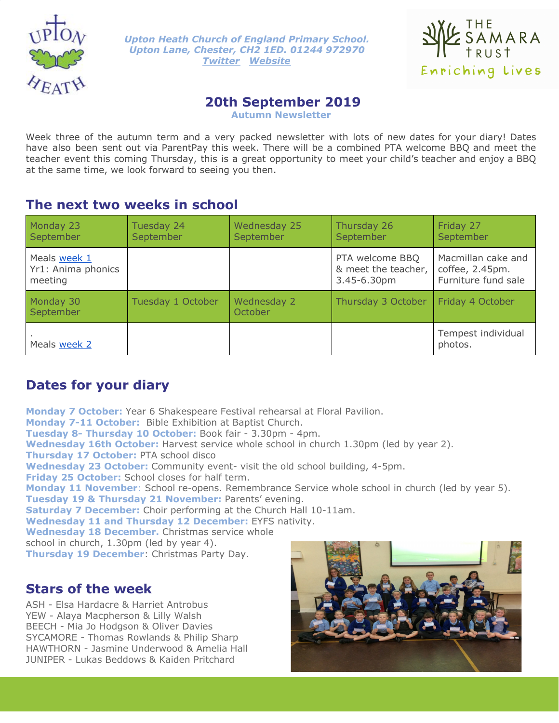

*Upton Heath Church of England Primary School. Upton Lane, Chester, CH2 1ED. 01244 972970 [Twitter](https://twitter.com/UptonHeathCE) [Website](http://www.uptonheath.cheshire.sch.uk/)*



# **20th September 2019**

**Autumn Newsletter**

Week three of the autumn term and a very packed newsletter with lots of new dates for your diary! Dates have also been sent out via ParentPay this week. There will be a combined PTA welcome BBQ and meet the teacher event this coming Thursday, this is a great opportunity to meet your child's teacher and enjoy a BBQ at the same time, we look forward to seeing you then.

## **The next two weeks in school**

| Monday 23<br>September                        | Tuesday 24<br>September | Wednesday 25<br>September | Thursday 26<br>September                              | Friday 27<br>September                                       |
|-----------------------------------------------|-------------------------|---------------------------|-------------------------------------------------------|--------------------------------------------------------------|
| Meals week 1<br>Yr1: Anima phonics<br>meeting |                         |                           | PTA welcome BBQ<br>& meet the teacher,<br>3.45-6.30pm | Macmillan cake and<br>coffee, 2.45pm.<br>Furniture fund sale |
| Monday 30<br>September                        | Tuesday 1 October       | Wednesday 2<br>October    | Thursday 3 October                                    | Friday 4 October                                             |
| Meals week 2                                  |                         |                           |                                                       | Tempest individual<br>photos.                                |

# **Dates for your diary**

**Monday 7 October:** Year 6 Shakespeare Festival rehearsal at Floral Pavilion. **Monday 7-11 October:** Bible Exhibition at Baptist Church. **Tuesday 8- Thursday 10 October:** Book fair - 3.30pm - 4pm. **Wednesday 16th October:** Harvest service whole school in church 1.30pm (led by year 2). **Thursday 17 October:** PTA school disco **Wednesday 23 October:** Community event- visit the old school building, 4-5pm. **Friday 25 October:** School closes for half term. **Monday 11 November**: School re-opens. Remembrance Service whole school in church (led by year 5). **Tuesday 19 & Thursday 21 November:** Parents' evening. **Saturday 7 December:** Choir performing at the Church Hall 10-11am. **Wednesday 11 and Thursday 12 December:** EYFS nativity. **Wednesday 18 December.** Christmas service whole school in church, 1.30pm (led by year 4). **Thursday 19 December**: Christmas Party Day.

# **Stars of the week**

ASH - Elsa Hardacre & Harriet Antrobus YEW - Alaya Macpherson & Lilly Walsh BEECH - Mia Jo Hodgson & Oliver Davies SYCAMORE - Thomas Rowlands & Philip Sharp HAWTHORN - Jasmine Underwood & Amelia Hall JUNIPER - Lukas Beddows & Kaiden Pritchard

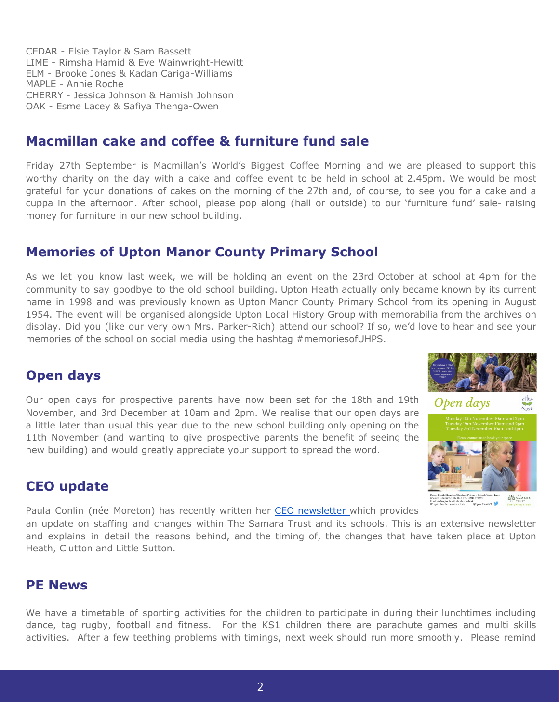CEDAR - Elsie Taylor & Sam Bassett LIME - Rimsha Hamid & Eve Wainwright-Hewitt ELM - Brooke Jones & Kadan Cariga-Williams MAPLE - Annie Roche CHERRY - Jessica Johnson & Hamish Johnson OAK - Esme Lacey & Safiya Thenga-Owen

## **Macmillan cake and coffee & furniture fund sale**

Friday 27th September is Macmillan's World's Biggest Coffee Morning and we are pleased to support this worthy charity on the day with a cake and coffee event to be held in school at 2.45pm. We would be most grateful for your donations of cakes on the morning of the 27th and, of course, to see you for a cake and a cuppa in the afternoon. After school, please pop along (hall or outside) to our 'furniture fund' sale- raising money for furniture in our new school building.

# **Memories of Upton Manor County Primary School**

As we let you know last week, we will be holding an event on the 23rd October at school at 4pm for the community to say goodbye to the old school building. Upton Heath actually only became known by its current name in 1998 and was previously known as Upton Manor County Primary School from its opening in August 1954. The event will be organised alongside Upton Local History Group with memorabilia from the archives on display. Did you (like our very own Mrs. Parker-Rich) attend our school? If so, we'd love to hear and see your memories of the school on social media using the hashtag #memoriesofUHPS.

# **Open days**

Our open days for prospective parents have now been set for the 18th and 19th November, and 3rd December at 10am and 2pm. We realise that our open days are a little later than usual this year due to the new school building only opening on the 11th November (and wanting to give prospective parents the benefit of seeing the new building) and would greatly appreciate your support to spread the word.

# **CEO update**



Paula Conlin (née Moreton) has recently written her CEO [newsletter](https://docs.wixstatic.com/ugd/9c7cd6_a176d894a0c14791a3771cd70dab3022.pdf) which provides

an update on staffing and changes within The Samara Trust and its schools. This is an extensive newsletter and explains in detail the reasons behind, and the timing of, the changes that have taken place at Upton Heath, Clutton and Little Sutton.

### **PE News**

We have a timetable of sporting activities for the children to participate in during their lunchtimes including dance, tag rugby, football and fitness. For the KS1 children there are parachute games and multi skills activities. After a few teething problems with timings, next week should run more smoothly. Please remind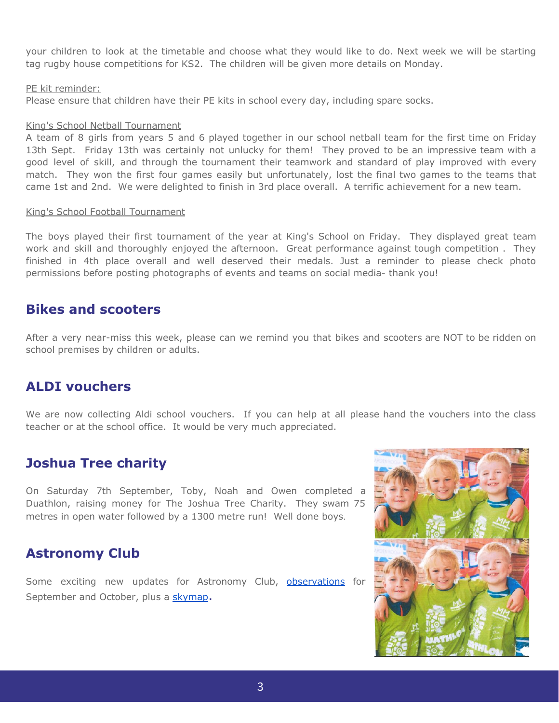your children to look at the timetable and choose what they would like to do. Next week we will be starting tag rugby house competitions for KS2. The children will be given more details on Monday.

#### PE kit reminder:

Please ensure that children have their PE kits in school every day, including spare socks.

#### King's School Netball Tournament

A team of 8 girls from years 5 and 6 played together in our school netball team for the first time on Friday 13th Sept. Friday 13th was certainly not unlucky for them! They proved to be an impressive team with a good level of skill, and through the tournament their teamwork and standard of play improved with every match. They won the first four games easily but unfortunately, lost the final two games to the teams that came 1st and 2nd. We were delighted to finish in 3rd place overall. A terrific achievement for a new team.

#### King's School Football Tournament

The boys played their first tournament of the year at King's School on Friday. They displayed great team work and skill and thoroughly enjoyed the afternoon. Great performance against tough competition . They finished in 4th place overall and well deserved their medals. Just a reminder to please check photo permissions before posting photographs of events and teams on social media- thank you!

### **Bikes and scooters**

After a very near-miss this week, please can we remind you that bikes and scooters are NOT to be ridden on school premises by children or adults.

### **ALDI vouchers**

We are now collecting Aldi school vouchers. If you can help at all please hand the vouchers into the class teacher or at the school office. It would be very much appreciated.

# **Joshua Tree charity**

On Saturday 7th September, Toby, Noah and Owen completed a Duathlon, raising money for The Joshua Tree Charity. They swam 75 metres in open water followed by a 1300 metre run! Well done boys.

# **Astronomy Club**

Some exciting new updates for Astronomy Club, [observations](http://www.uptonheath.cheshire.sch.uk/serve_file/370855) for September and October, plus a [skymap](http://www.uptonheath.cheshire.sch.uk/serve_file/370856).